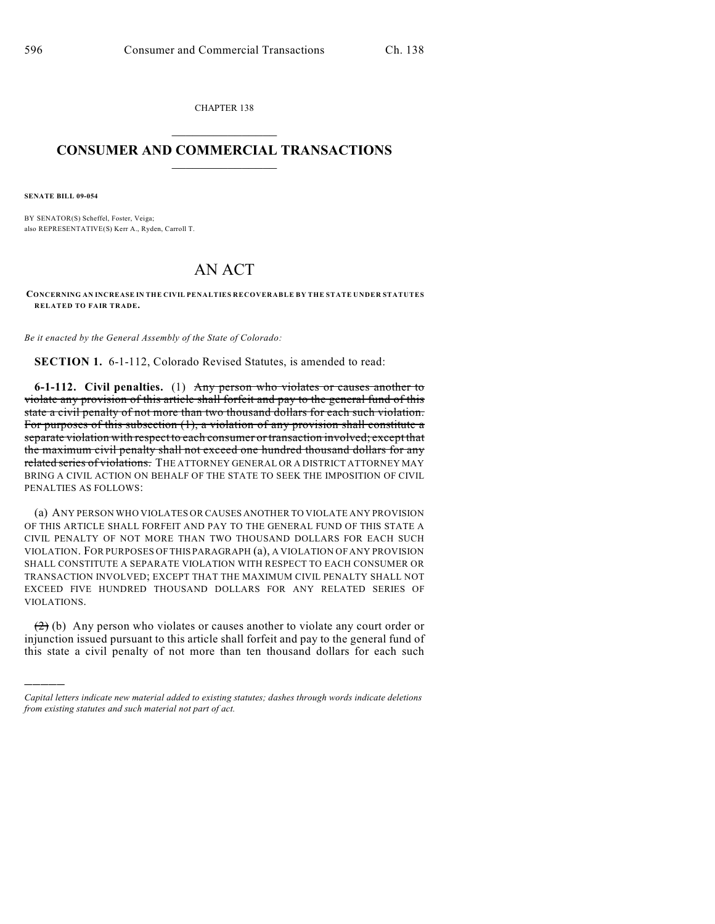CHAPTER 138  $\mathcal{L}_\text{max}$  . The set of the set of the set of the set of the set of the set of the set of the set of the set of the set of the set of the set of the set of the set of the set of the set of the set of the set of the set

## **CONSUMER AND COMMERCIAL TRANSACTIONS**  $\frac{1}{2}$  ,  $\frac{1}{2}$  ,  $\frac{1}{2}$  ,  $\frac{1}{2}$  ,  $\frac{1}{2}$  ,  $\frac{1}{2}$

**SENATE BILL 09-054**

)))))

BY SENATOR(S) Scheffel, Foster, Veiga; also REPRESENTATIVE(S) Kerr A., Ryden, Carroll T.

## AN ACT

**CONCERNING AN INCREASE IN THE CIVIL PENALTIES RECOVERABLE BY THE STATE UNDER STATUTES RELATED TO FAIR TRADE.**

*Be it enacted by the General Assembly of the State of Colorado:*

**SECTION 1.** 6-1-112, Colorado Revised Statutes, is amended to read:

**6-1-112. Civil penalties.** (1) Any person who violates or causes another to violate any provision of this article shall forfeit and pay to the general fund of this state a civil penalty of not more than two thousand dollars for each such violation. For purposes of this subsection (1), a violation of any provision shall constitute a separate violation with respect to each consumer or transaction involved; except that the maximum civil penalty shall not exceed one hundred thousand dollars for any related series of violations. THE ATTORNEY GENERAL OR A DISTRICT ATTORNEY MAY BRING A CIVIL ACTION ON BEHALF OF THE STATE TO SEEK THE IMPOSITION OF CIVIL PENALTIES AS FOLLOWS:

(a) ANY PERSON WHO VIOLATES OR CAUSES ANOTHER TO VIOLATE ANY PROVISION OF THIS ARTICLE SHALL FORFEIT AND PAY TO THE GENERAL FUND OF THIS STATE A CIVIL PENALTY OF NOT MORE THAN TWO THOUSAND DOLLARS FOR EACH SUCH VIOLATION. FOR PURPOSES OF THIS PARAGRAPH (a), A VIOLATION OF ANY PROVISION SHALL CONSTITUTE A SEPARATE VIOLATION WITH RESPECT TO EACH CONSUMER OR TRANSACTION INVOLVED; EXCEPT THAT THE MAXIMUM CIVIL PENALTY SHALL NOT EXCEED FIVE HUNDRED THOUSAND DOLLARS FOR ANY RELATED SERIES OF VIOLATIONS.

(2) (b) Any person who violates or causes another to violate any court order or injunction issued pursuant to this article shall forfeit and pay to the general fund of this state a civil penalty of not more than ten thousand dollars for each such

*Capital letters indicate new material added to existing statutes; dashes through words indicate deletions from existing statutes and such material not part of act.*